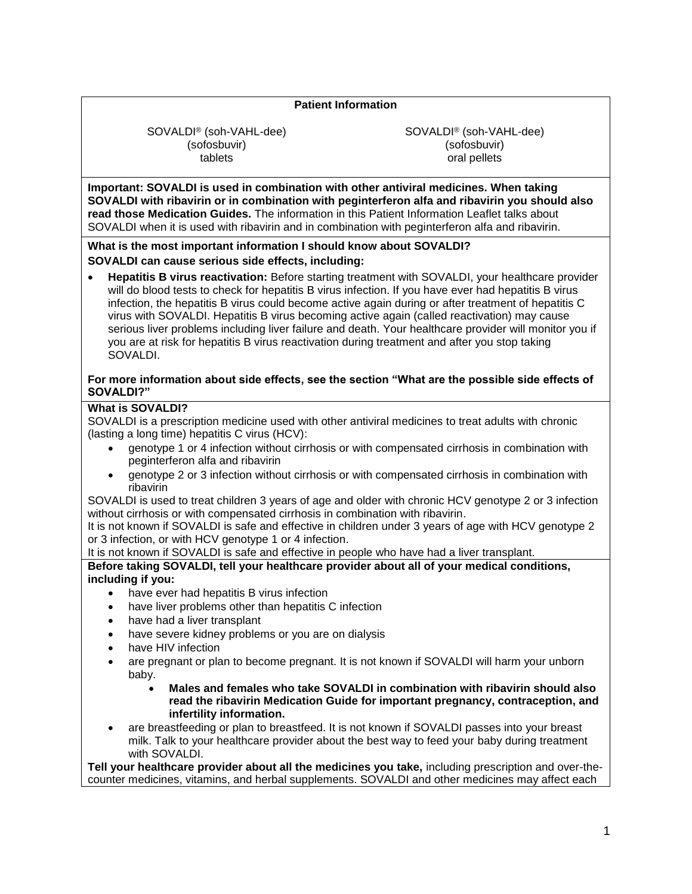# **Patient Information**

SOVALDI® (soh-VAHL-dee) (sofosbuvir) tablets

SOVALDI® (soh-VAHL-dee) (sofosbuvir) oral pellets

**Important: SOVALDI is used in combination with other antiviral medicines. When taking SOVALDI with ribavirin or in combination with peginterferon alfa and ribavirin you should also read those Medication Guides.** The information in this Patient Information Leaflet talks about SOVALDI when it is used with ribavirin and in combination with peginterferon alfa and ribavirin.

#### **What is the most important information I should know about SOVALDI? SOVALDI can cause serious side effects, including:**

• **Hepatitis B virus reactivation:** Before starting treatment with SOVALDI, your healthcare provider will do blood tests to check for hepatitis B virus infection. If you have ever had hepatitis B virus infection, the hepatitis B virus could become active again during or after treatment of hepatitis C virus with SOVALDI. Hepatitis B virus becoming active again (called reactivation) may cause serious liver problems including liver failure and death. Your healthcare provider will monitor you if you are at risk for hepatitis B virus reactivation during treatment and after you stop taking SOVALDI.

### **For more information about side effects, see the section "What are the possible side effects of SOVALDI?"**

### **What is SOVALDI?**

SOVALDI is a prescription medicine used with other antiviral medicines to treat adults with chronic (lasting a long time) hepatitis C virus (HCV):

- genotype 1 or 4 infection without cirrhosis or with compensated cirrhosis in combination with peginterferon alfa and ribavirin
- genotype 2 or 3 infection without cirrhosis or with compensated cirrhosis in combination with ribavirin

SOVALDI is used to treat children 3 years of age and older with chronic HCV genotype 2 or 3 infection without cirrhosis or with compensated cirrhosis in combination with ribavirin.

It is not known if SOVALDI is safe and effective in children under 3 years of age with HCV genotype 2 or 3 infection, or with HCV genotype 1 or 4 infection.

It is not known if SOVALDI is safe and effective in people who have had a liver transplant.

# **Before taking SOVALDI, tell your healthcare provider about all of your medical conditions, including if you:**

- have ever had hepatitis B virus infection
- have liver problems other than hepatitis C infection
- have had a liver transplant
- have severe kidney problems or you are on dialysis
- have HIV infection
- are pregnant or plan to become pregnant. It is not known if SOVALDI will harm your unborn baby.
	- **Males and females who take SOVALDI in combination with ribavirin should also read the ribavirin Medication Guide for important pregnancy, contraception, and infertility information.**
- are breastfeeding or plan to breastfeed. It is not known if SOVALDI passes into your breast milk. Talk to your healthcare provider about the best way to feed your baby during treatment with SOVALDI.

**Tell your healthcare provider about all the medicines you take,** including prescription and over-thecounter medicines, vitamins, and herbal supplements. SOVALDI and other medicines may affect each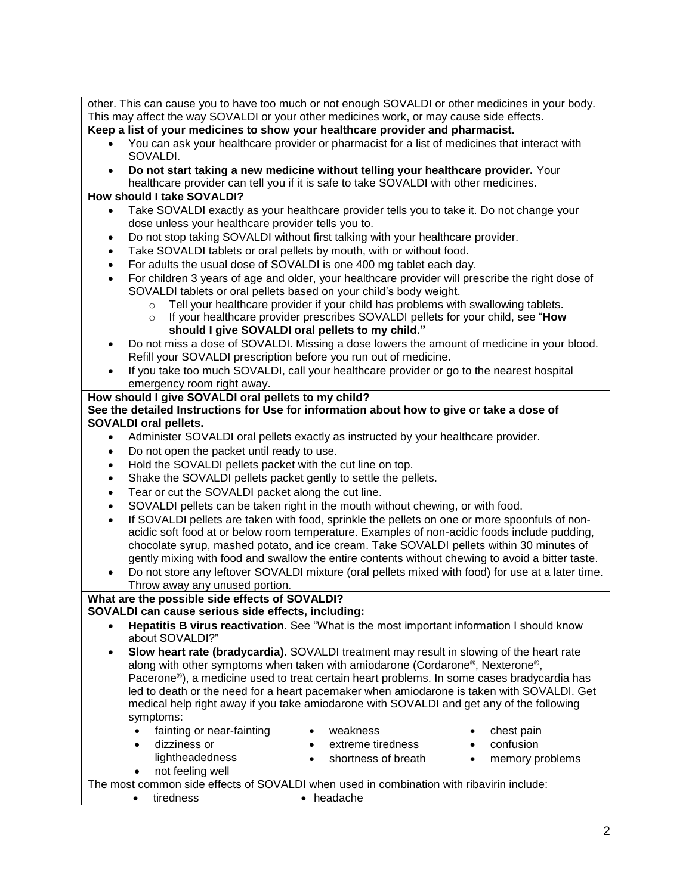| other. This can cause you to have too much or not enough SOVALDI or other medicines in your body.                      |  |
|------------------------------------------------------------------------------------------------------------------------|--|
| This may affect the way SOVALDI or your other medicines work, or may cause side effects.                               |  |
| Keep a list of your medicines to show your healthcare provider and pharmacist.                                         |  |
| You can ask your healthcare provider or pharmacist for a list of medicines that interact with<br>$\bullet$<br>SOVALDI. |  |
| Do not start taking a new medicine without telling your healthcare provider. Your<br>$\bullet$                         |  |
| healthcare provider can tell you if it is safe to take SOVALDI with other medicines.                                   |  |
| How should I take SOVALDI?                                                                                             |  |
| Take SOVALDI exactly as your healthcare provider tells you to take it. Do not change your<br>$\bullet$                 |  |
| dose unless your healthcare provider tells you to.                                                                     |  |
| Do not stop taking SOVALDI without first talking with your healthcare provider.<br>$\bullet$                           |  |
| Take SOVALDI tablets or oral pellets by mouth, with or without food.<br>$\bullet$                                      |  |
| For adults the usual dose of SOVALDI is one 400 mg tablet each day.<br>$\bullet$                                       |  |
| For children 3 years of age and older, your healthcare provider will prescribe the right dose of<br>$\bullet$          |  |
| SOVALDI tablets or oral pellets based on your child's body weight.                                                     |  |
| Tell your healthcare provider if your child has problems with swallowing tablets.<br>$\circ$                           |  |
| If your healthcare provider prescribes SOVALDI pellets for your child, see "How<br>$\circ$                             |  |
| should I give SOVALDI oral pellets to my child."                                                                       |  |
| Do not miss a dose of SOVALDI. Missing a dose lowers the amount of medicine in your blood.<br>$\bullet$                |  |
| Refill your SOVALDI prescription before you run out of medicine.                                                       |  |
| If you take too much SOVALDI, call your healthcare provider or go to the nearest hospital                              |  |
| emergency room right away.                                                                                             |  |
| How should I give SOVALDI oral pellets to my child?                                                                    |  |
| See the detailed Instructions for Use for information about how to give or take a dose of                              |  |
| <b>SOVALDI oral pellets.</b>                                                                                           |  |
| Administer SOVALDI oral pellets exactly as instructed by your healthcare provider.<br>$\bullet$                        |  |
| Do not open the packet until ready to use.<br>$\bullet$                                                                |  |
| Hold the SOVALDI pellets packet with the cut line on top.                                                              |  |
| Shake the SOVALDI pellets packet gently to settle the pellets.                                                         |  |
| Tear or cut the SOVALDI packet along the cut line.<br>$\bullet$                                                        |  |
| SOVALDI pellets can be taken right in the mouth without chewing, or with food.<br>$\bullet$                            |  |
| If SOVALDI pellets are taken with food, sprinkle the pellets on one or more spoonfuls of non-<br>$\bullet$             |  |
| acidic soft food at or below room temperature. Examples of non-acidic foods include pudding,                           |  |
| chocolate syrup, mashed potato, and ice cream. Take SOVALDI pellets within 30 minutes of                               |  |
| gently mixing with food and swallow the entire contents without chewing to avoid a bitter taste.                       |  |
| Do not store any leftover SOVALDI mixture (oral pellets mixed with food) for use at a later time.<br>$\bullet$         |  |
| Throw away any unused portion.                                                                                         |  |
| What are the possible side effects of SOVALDI?                                                                         |  |
| SOVALDI can cause serious side effects, including:                                                                     |  |
| Hepatitis B virus reactivation. See "What is the most important information I should know<br>about SOVALDI?"           |  |
| Slow heart rate (bradycardia). SOVALDI treatment may result in slowing of the heart rate<br>$\bullet$                  |  |
| along with other symptoms when taken with amiodarone (Cordarone®, Nexterone®,                                          |  |
| Pacerone®), a medicine used to treat certain heart problems. In some cases bradycardia has                             |  |
| led to death or the need for a heart pacemaker when amiodarone is taken with SOVALDI. Get                              |  |
| medical help right away if you take amiodarone with SOVALDI and get any of the following                               |  |
| symptoms:                                                                                                              |  |
| fainting or near-fainting<br>weakness<br>chest pain<br>$\bullet$                                                       |  |
| dizziness or<br>extreme tiredness<br>confusion<br>$\bullet$<br>$\bullet$                                               |  |
| lightheadedness<br>shortness of breath<br>memory problems<br>$\bullet$<br>$\bullet$                                    |  |
| not feeling well<br>٠                                                                                                  |  |
| The most common side effects of SOVALDI when used in combination with ribavirin include:                               |  |
| tiredness<br>• headache<br>$\bullet$                                                                                   |  |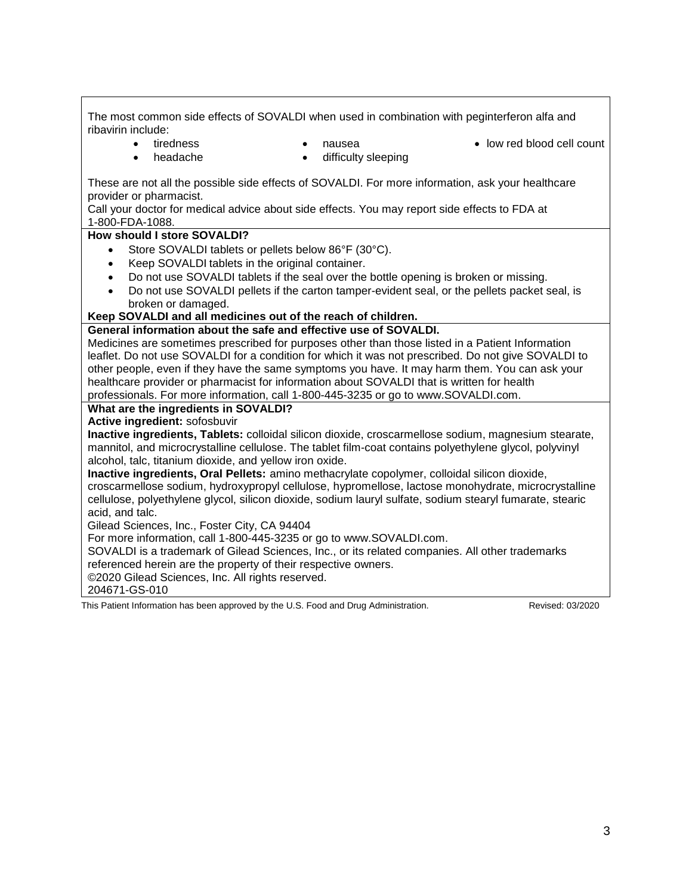The most common side effects of SOVALDI when used in combination with peginterferon alfa and ribavirin include: • tiredness • headache • nausea difficulty sleeping • low red blood cell count These are not all the possible side effects of SOVALDI. For more information, ask your healthcare provider or pharmacist. Call your doctor for medical advice about side effects. You may report side effects to FDA at 1-800-FDA-1088. **How should I store SOVALDI?** Store SOVALDI tablets or pellets below 86°F (30°C). Keep SOVALDI tablets in the original container. • Do not use SOVALDI tablets if the seal over the bottle opening is broken or missing. • Do not use SOVALDI pellets if the carton tamper-evident seal, or the pellets packet seal, is broken or damaged. **Keep SOVALDI and all medicines out of the reach of children. General information about the safe and effective use of SOVALDI.** Medicines are sometimes prescribed for purposes other than those listed in a Patient Information leaflet. Do not use SOVALDI for a condition for which it was not prescribed. Do not give SOVALDI to other people, even if they have the same symptoms you have. It may harm them. You can ask your healthcare provider or pharmacist for information about SOVALDI that is written for health professionals. For more information, call 1-800-445-3235 or go to www.SOVALDI.com. **What are the ingredients in SOVALDI? Active ingredient:** sofosbuvir **Inactive ingredients, Tablets:** colloidal silicon dioxide, croscarmellose sodium, magnesium stearate, mannitol, and microcrystalline cellulose. The tablet film-coat contains polyethylene glycol, polyvinyl alcohol, talc, titanium dioxide, and yellow iron oxide. **Inactive ingredients, Oral Pellets:** amino methacrylate copolymer, colloidal silicon dioxide, croscarmellose sodium, hydroxypropyl cellulose, hypromellose, lactose monohydrate, microcrystalline cellulose, polyethylene glycol, silicon dioxide, sodium lauryl sulfate, sodium stearyl fumarate, stearic acid, and talc. Gilead Sciences, Inc., Foster City, CA 94404 For more information, call 1-800-445-3235 or go to www.SOVALDI.com. SOVALDI is a trademark of Gilead Sciences, Inc., or its related companies. All other trademarks referenced herein are the property of their respective owners. ©2020 Gilead Sciences, Inc. All rights reserved. 204671-GS-010 This Patient Information has been approved by the U.S. Food and Drug Administration. Revised: 03/2020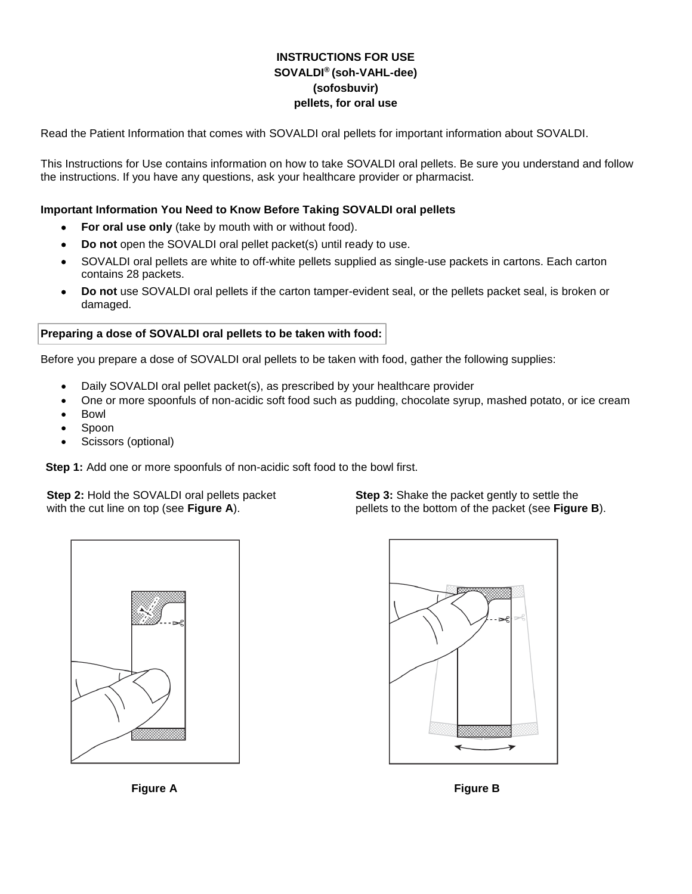# **INSTRUCTIONS FOR USE SOVALDI® (soh-VAHL-dee) (sofosbuvir) pellets, for oral use**

Read the Patient Information that comes with SOVALDI oral pellets for important information about SOVALDI.

This Instructions for Use contains information on how to take SOVALDI oral pellets. Be sure you understand and follow the instructions. If you have any questions, ask your healthcare provider or pharmacist.

### **Important Information You Need to Know Before Taking SOVALDI oral pellets**

- For oral use only (take by mouth with or without food).
- **Do not** open the SOVALDI oral pellet packet(s) until ready to use.
- SOVALDI oral pellets are white to off-white pellets supplied as single-use packets in cartons. Each carton contains 28 packets.
- **Do not** use SOVALDI oral pellets if the carton tamper-evident seal, or the pellets packet seal, is broken or damaged.

#### **Preparing a dose of SOVALDI oral pellets to be taken with food:**

Before you prepare a dose of SOVALDI oral pellets to be taken with food, gather the following supplies:

- Daily SOVALDI oral pellet packet(s), as prescribed by your healthcare provider
- One or more spoonfuls of non-acidic soft food such as pudding, chocolate syrup, mashed potato, or ice cream
- Bowl
- Spoon
- Scissors (optional)

**Step 1:** Add one or more spoonfuls of non-acidic soft food to the bowl first.

**Step 2:** Hold the SOVALDI oral pellets packet with the cut line on top (see **Figure A**).

**Step 3:** Shake the packet gently to settle the pellets to the bottom of the packet (see **Figure B**).





**Figure A** Figure B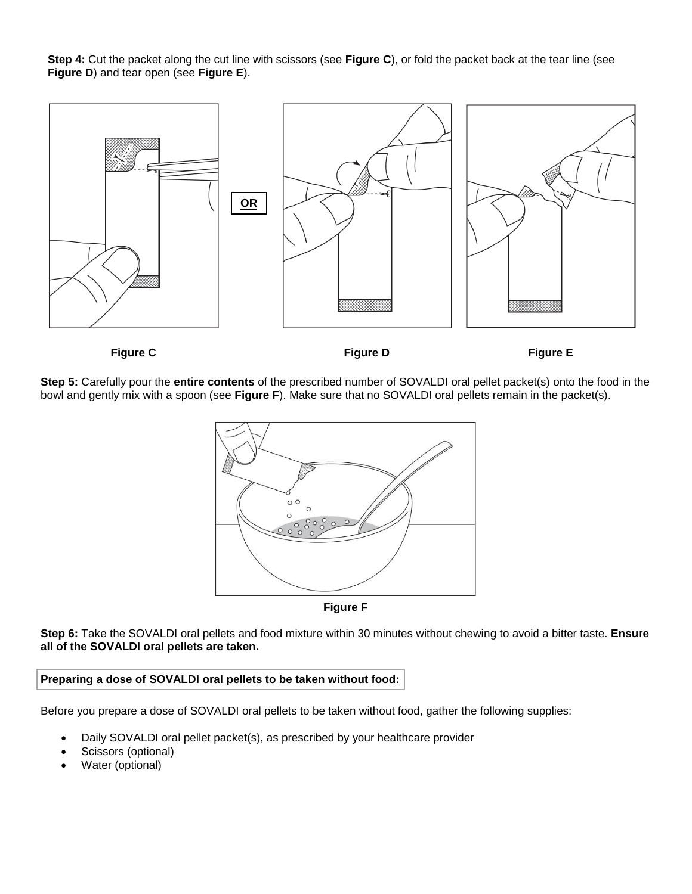**Step 4:** Cut the packet along the cut line with scissors (see **Figure C**), or fold the packet back at the tear line (see **Figure D**) and tear open (see **Figure E**).



**Step 5:** Carefully pour the **entire contents** of the prescribed number of SOVALDI oral pellet packet(s) onto the food in the bowl and gently mix with a spoon (see **Figure F**). Make sure that no SOVALDI oral pellets remain in the packet(s).





**Step 6:** Take the SOVALDI oral pellets and food mixture within 30 minutes without chewing to avoid a bitter taste. **Ensure all of the SOVALDI oral pellets are taken.**

### **Preparing a dose of SOVALDI oral pellets to be taken without food:**

Before you prepare a dose of SOVALDI oral pellets to be taken without food, gather the following supplies:

- Daily SOVALDI oral pellet packet(s), as prescribed by your healthcare provider
- Scissors (optional)
- Water (optional)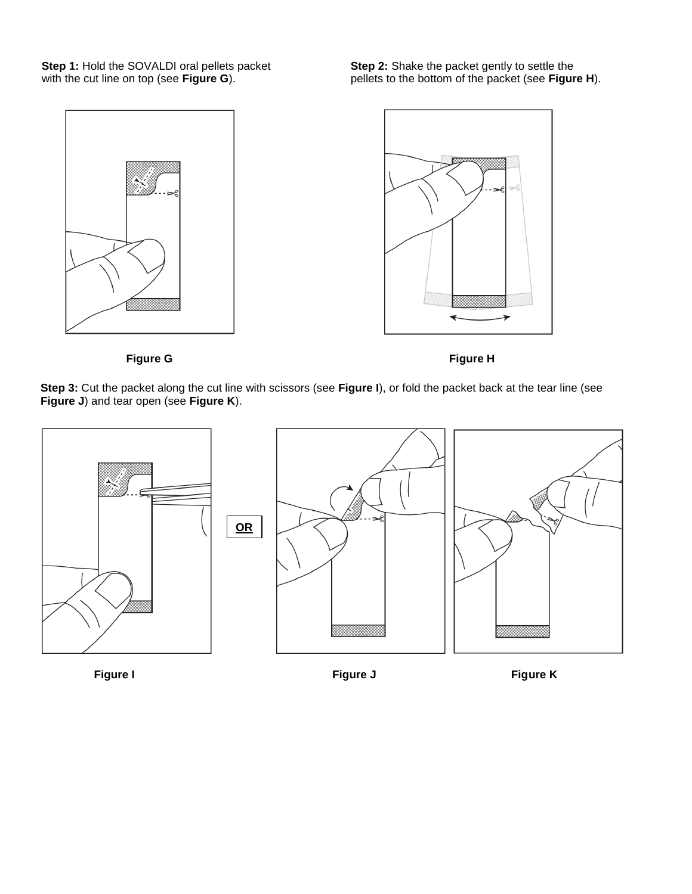**Step 1:** Hold the SOVALDI oral pellets packet with the cut line on top (see **Figure G**).

**Step 2:** Shake the packet gently to settle the pellets to the bottom of the packet (see **Figure H**).



**Figure G** Figure H

**Step 3:** Cut the packet along the cut line with scissors (see **Figure I**), or fold the packet back at the tear line (see **Figure J**) and tear open (see **Figure K**).